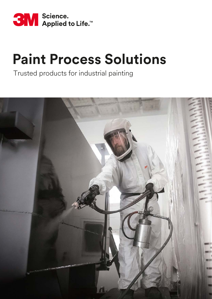

Trusted products for industrial painting

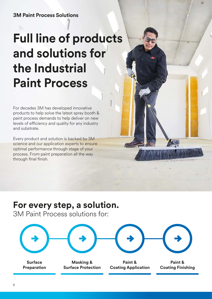# **Full line of products and solutions for the Industrial Paint Process**

For decades 3M has developed innovative products to help solve the latest spray booth & paint process demands to help deliver on new levels of efficiency and quality for any industry and substrate.

Every product and solution is backed by 3M science and our application experts to ensure optimal performance through stage of your process. From paint preparation all the way through final finish.

## **For every step, a solution.**

3M Paint Process solutions for:

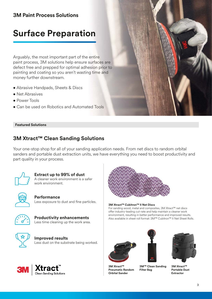### **Surface Preparation**

Arguably, the most important part of the entire paint process, 3M solutions help ensure surfaces are defect free and prepped for optimal adhesion prior to painting and coating so you aren't wasting time and money further downstream.

- Abrasive Handpads, Sheets & Discs
- Net Abrasives
- Power Tools
- Can be used on Robotics and Automated Tools

#### **Featured Solutions**

#### **3M Xtract™ Clean Sanding Solutions**

Your one-stop shop for all of your sanding application needs. From net discs to random orbital sanders and portable dust extraction units, we have everything you need to boost productivity and part quality in your process.



**Extract up to 99% of dust** A cleaner work environment is a safer work environment.



**Performance** Less exposure to dust and fine particles.



**Productivity enhancements** Less time cleaning up the work area.



**Improved results** Less dust on the substrate being worked.





#### **3M Xtract™ Cubitron™ II Net Discs**

For sanding wood, metal and composites, 3M Xtract™ net discs offer industry-leading cut-rate and help maintain a cleaner work environment, resulting in better performance and improved results. Also available in sheet roll format: 3M™ Cubitron™ II Net Sheet Rolls.





**3M Xtract™ Pneumatic Random Orbital Sander**

**3M™ Clean Sanding Filter Bag**



**3M Xtract™ Portable Dust Extractor**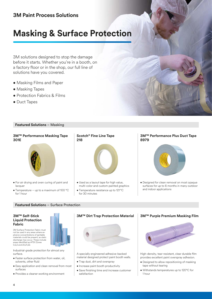## **Masking & Surface Protection**

3M solutions designed to stop the damage before it starts. Whether you're in a booth, on a factory floor or in the shop, our full line of solutions have you covered.

- Masking Films and Paper
- Masking Tapes
- Protection Fabrics & Films
- Duct Tapes

#### **Featured Solutions** – Masking

#### **3M™ Performance Masking Tape 301E**



- For air drying and oven curing of paint and lacquer
- Temperature up to a maximum of 100 °C for 1 hour

### **Scotch® Fine Line Tape 218**



- Used as a layout tape for high value, multi-color and custom painted graphics
- Temperature resistance up to 121 °C for 30 minutes

#### **3M™ Performance Plus Duct Tape 8979**



• Designed for clean removal on most opaque surfaces for up to 6 months in many outdoor and indoor applications

#### **Featured Solution**s – Surface Protection

#### **3M™ Self-Stick Liquid Protection Fabric**

3M Surface Protection Fabric must not be used in any areas where explosive concentrations of ignitable materials could be present, as static discharge may occur. These include<br>areas identified as ATEX Zones 0,2,2 and 20,21,22.

Industrial-grade protection for almost any surface.

- Faster surface protection from water, oil, solvents, other fluid
- Easy application and clean removal from most surfaces
- Provides a cleaner working environment



A specially engineered adhesive-backed material designed protect paint booth walls.

- Trap dust, dirt and overspray
- Increase paint booth productivity
- Save finishing time and increase customer satisfaction

#### **3M™ Purple Premium Masking Film**



High-density, tear-resistant, clear durable film provides excellent paint overspray adhesion.

- Designed to allow repositioning of masking tape without tearing
- Withstands temperatures up to 120°C for 1 hour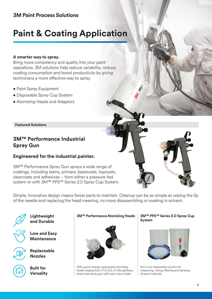## **Paint & Coating Application**

#### **A smarter way to spray.**

Bring more consistency and quality into your paint operations. 3M solutions help reduce variability, reduce coating consumption and boost productivity by giving technicians a more effective way to spray.

- Paint Spray Equipment
- Disposable Spray Cup System
- Atomizing Heads and Adaptors

**Featured Solutions**

### **3M™ Performance Industrial Spray Gun**

#### **Engineered for the industrial painter.**

3M™ Performance Spray Gun sprays a wide range of coatings, including stains, primers, basecoats, topcoats, clearcoats and adhesives – from either a pressure-fed system or with 3M™ PPS™ Series 2.0 Spray Cup System.

Simple, innovative design means fewer parts to maintain. Cleanup can be as simple as wiping the tip of the needle and replacing the head meaning, no more disassembling or soaking in solvent.



**Lightweight and Durable**

**Low and Easy Maintenance**

**Replaceable Nozzles**

**Built for Versality**

#### **3M™ Performance Atomizing Heads**



With quick-change replaceable atomizing heads ranging from 1.1 to 2.0, it's like getting a brand new spray gun with every new nozzle.

#### **3M™ PPS™ Series 2.0 Spray Cup System**



All-in-one disposable solution for measuring, mixing, filtering and spraying of paint materials.

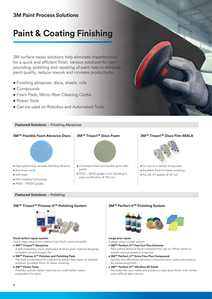### **Paint & Coating Finishing**

3M surface repair solutions help eliminate imperfections for a quick and efficient finish. Various solutions for compounding, polishing and repairing of paint help to enhance paint quality, reduce rework and increase productivity.

- Finishing abrasives: discs, sheets, rolls
- Compounds
- Foam Pads, Micro-fiber Cleaning Cloths
- Power Tools
- Can be used on Robotics and Automated Tools

#### **Featured Solutions** – Finishing Abrasives



- High performing, versatile blending abrasive
- Aluminum oxide
- Soft foam
- Anti-Loading Technology
- P400 P2000 grades

#### **Featured Solutions** – Polishing



- Consistent finish and durable gloss after polish.
- 1000 8000 grades, from blending to paint rectification,  $Ø$  150 mm

#### **3M™ Flexible Foam Abrasive Discs 3M™ Trizact™ Discs Foam 3M™ Trizact™ Discs Film 468LA**



- For use on a variety of topcoats
- Excellent finish for faster polishing
- A3, A5, A7 grades, Ø 32 mm

#### **3M™ Trizact™ Finesse-It™ Polishing System 3M™ Perfect-It™ Finishing System**



#### **Small defect repair system**

Just 2 steps away from a defect-free finish: sand and polish.

#### **• 3M™ Trizact™ Abrasives**

A 3M proprietary micro-replicated abrasive grain material designed to fastest cut and longest life.

**• 3M™ Finesse-It™ Polishes and Polishing Pads** The best combination for a blooming defect-free repair on painted surfaces. Excellent finish for faster polishing.

#### **• 3M™ Power Tools**

Polishers and de-nibber machines for small defect repair, preparation for paint.



#### **Large area repair**

#### 3 stage colour coded system.

- **3M™ Perfect-It™ Fast Cut Plus Extreme**
- Fast cutting abrasive liquid compound for use on refinsh paints to quickly remove abrasive scratches.
- **3M™ Perfect-It™ Extra Fine Plus Compound** Quickly and effectively removes compound swirl marks and produce an outstanding finish.
- **3M™ Perfect-It™ Ultrafina SE Polish** Eliminate fine swirl marks and produce a high gloss finish, even on the most difficult dark colours.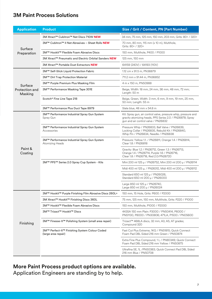| <b>Application</b>                   | <b>Product</b>                                                       | Size / Grit / Content, PN (Part Number)                                                                                                                           |
|--------------------------------------|----------------------------------------------------------------------|-------------------------------------------------------------------------------------------------------------------------------------------------------------------|
| Surface<br>Preparation               | 3M Xtract™ Cubitron™ Net Discs 710W NEW                              | 34 mm, 75 mm, 125 mm, 150 mm, 203 mm, Grits: 80+ / 320+                                                                                                           |
|                                      | 3M™ Cubitron™ II Net Abrasives - Sheet Rolls NEW                     | 70 mm, 80 mm, 115 mm (x 10 m), Multihole,<br>Grits: 80+ / 320+                                                                                                    |
|                                      | 3M™ Hookit™ Flexible Foam Abrasive Discs                             | 150 mm, Multihole, P400 / P1000                                                                                                                                   |
|                                      | 3M Xtract™ Pneumatic and Electric Orbital Sanders NEW                | 125 mm, 150 mm                                                                                                                                                    |
|                                      | 3M Xtract™ Portable Dust Extractors NEW                              | 64159 (240V) / 64193 (110V)                                                                                                                                       |
| Surface<br>Protection and<br>Masking | 3M™ Self-Stick Liquid Protection Fabric                              | 1.12 cm x 91.5 m, PN36879                                                                                                                                         |
|                                      | 3M™ Dirt Trap Protection Material                                    | 711.2 mm x 91.44 m, PN36852                                                                                                                                       |
|                                      | 3M™ Purple Premium Plus Masking Film                                 | 4 m x 150 m, PN50988                                                                                                                                              |
|                                      | 3M™ Performance Masking Tape 301E                                    | Beige, Width: 18 mm, 24 mm, 36 mm, 48 mm, 72 mm;<br>Length: 50 m                                                                                                  |
|                                      | Scotch® Fine Line Tape 218                                           | Beige, Green, Width: 3 mm, 6 mm, 9 mm, 19 mm, 25 mm,<br>50 mm; Length: 55 m                                                                                       |
|                                      | 3M™ Performance Plus Duct Tape 8979                                  | Slate blue, 48 mm x 54.8 m                                                                                                                                        |
| Paint &<br>Coating                   | 3M™ Performance Industrial Spray Gun System<br>Spray Gun             | Kit: Spray gun, air control valve, pressure whip, pressure and<br>gravity atomizing heads, PPS Series 2.0 / PN26878; Spray<br>gun and air control valve / PN26832 |
|                                      | 3M™ Performance Industrial Spray Gun System<br>Accessories           | Pressure Whip / PN26833, Ball Valve / PN26839,<br>Locking Collar / PN26835, Rebuild Kit / PN26840,<br>Whip Pin / PN26834, Needle / PN26838                        |
|                                      | 3M™ Performance Industrial Spray Gun System<br>Atomizing Heads       | Pressure: Yellow 1.1. / PN26811, Orange 1.4 / PN26814,<br>Clear 1.8 / PN26818                                                                                     |
|                                      |                                                                      | Gravity: Blue 1.2 / PN26712, Green 1.3 / PN26713,<br>Orange 1.4 / PN26714, Purple 1.6 / PN26716,<br>Clear 1.8 / PN26718, Red 2.0/PN26720                          |
|                                      | 3M™ PPS™ Series 2.0 Spray Cup System - Kits                          | Mini 200 ml 125 μ / PN26752, Mini 200 ml 200 μ / PN26114                                                                                                          |
|                                      |                                                                      | Midi 400 ml 125 µ, / PN26312, Midi 400 ml 200 µ / PN26112                                                                                                         |
|                                      |                                                                      | Standard 650 ml 125 µ / PN26026,<br>Standard 650 ml 200 µ / PN26000                                                                                               |
|                                      |                                                                      | Large 850 ml 125 µ / PN26740,<br>Large 850 ml 200 µ / PN26024                                                                                                     |
| Finishing                            | 3M™ Hookit™ Purple Finishing Film Abrasive Discs 260L+               | 150 mm, 15 Hole, Grits: P600 / P2000                                                                                                                              |
|                                      | 3M Xtract™ Hookit™ Finishing Discs 360L                              | 75 mm, 125 mm, 150 mm, Multihole, Grits: P220 / P1000                                                                                                             |
|                                      | 3M™ Hookit™ Flexible Foam Abrasive Discs                             | 150 mm, Multihole, P1000 / P2000                                                                                                                                  |
|                                      | 3M™ Trizact™ Hookit™ Discs                                           | 443SA 150 mm Plain: P3000 / PN50414, P6000 /<br>PN51130, P8000 / PN30806; 471LA, P1500 / PN05600                                                                  |
|                                      | 3M™ Finesse-It™ Polishing System (small area repair)                 | Trizact™ 468LA discs, 32 mm, A3, A5, A7 grades;<br>Compound 320                                                                                                   |
|                                      | 3M™ Perfect-It™ Finishing System Colour Coded<br>(large area repair) | Fast Cut Plus Extreme, 1KG / PN51815; Quick Connect<br>Foam Pad DBL Sided 216 mm Green / PN50874                                                                  |
|                                      |                                                                      | Extra Fine Plus Compound, 1 L / PN80349; Quick Connect<br>Foam Pad DBL Sided 216 mm Yellow / PN50875                                                              |
|                                      |                                                                      | Ultrafina SE, 1L /PN50383; Quick Connect Pad DBL Sided<br>216 mm Blue / PN50708                                                                                   |

**More Paint Process product options are available.** 

Application Engineers are standing by to help.